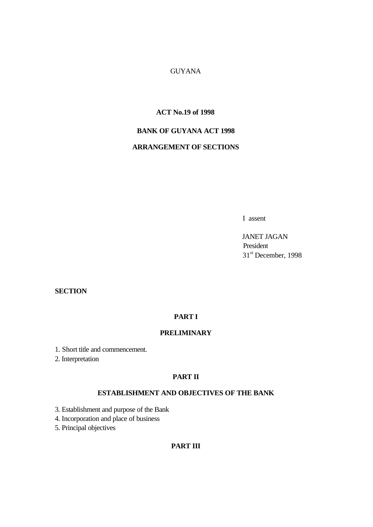## GUYANA

## **ACT No.19 of 1998**

## **BANK OF GUYANA ACT 1998**

## **ARRANGEMENT OF SECTIONS**

I assent

 JANET JAGAN President 31<sup>st</sup> December, 1998

## **SECTION**

### **PART I**

## **PRELIMINARY**

1. Short title and commencement.

2. Interpretation

## **PART II**

## **ESTABLISHMENT AND OBJECTIVES OF THE BANK**

3. Establishment and purpose of the Bank

4. Incorporation and place of business

5. Principal objectives

## **PART III**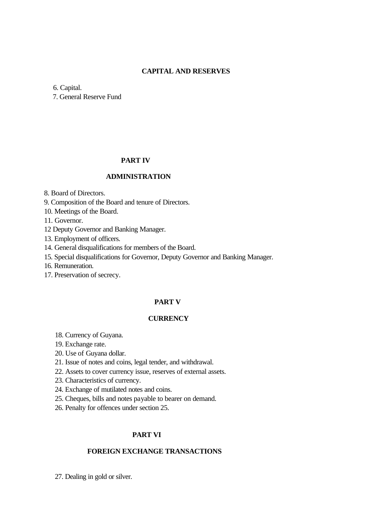### **CAPITAL AND RESERVES**

6. Capital.

7. General Reserve Fund

### **PART IV**

## **ADMINISTRATION**

8. Board of Directors.

9. Composition of the Board and tenure of Directors.

10. Meetings of the Board.

11. Governor.

12 Deputy Governor and Banking Manager.

13. Employment of officers.

14. General disqualifications for members of the Board.

15. Special disqualifications for Governor, Deputy Governor and Banking Manager.

16. Remuneration.

17. Preservation of secrecy.

### **PART V**

## **CURRENCY**

- 18. Currency of Guyana.
- 19. Exchange rate.
- 20. Use of Guyana dollar.
- 21. Issue of notes and coins, legal tender, and withdrawal.
- 22. Assets to cover currency issue, reserves of external assets.
- 23. Characteristics of currency.
- 24. Exchange of mutilated notes and coins.
- 25. Cheques, bills and notes payable to bearer on demand.
- 26. Penalty for offences under section 25.

## **PART VI**

### **FOREIGN EXCHANGE TRANSACTIONS**

27. Dealing in gold or silver.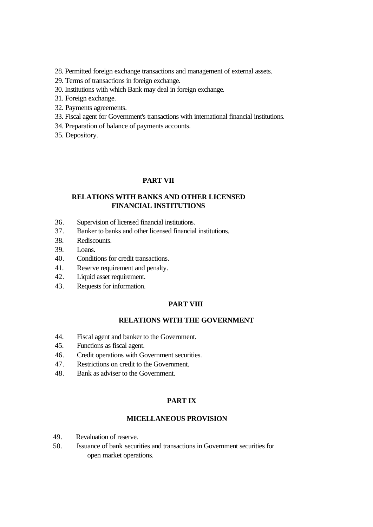- 28. Permitted foreign exchange transactions and management of external assets.
- 29. Terms of transactions in foreign exchange.
- 30. Institutions with which Bank may deal in foreign exchange.
- 31. Foreign exchange.
- 32. Payments agreements.
- 33. Fiscal agent for Government's transactions with international financial institutions.
- 34. Preparation of balance of payments accounts.
- 35. Depository.

### **PART VII**

## **RELATIONS WITH BANKS AND OTHER LICENSED FINANCIAL INSTITUTIONS**

- 36. Supervision of licensed financial institutions.
- 37. Banker to banks and other licensed financial institutions.
- 38. Rediscounts.
- 39. Loans.
- 40. Conditions for credit transactions.
- 41. Reserve requirement and penalty.
- 42. Liquid asset requirement.
- 43. Requests for information.

### **PART VIII**

## **RELATIONS WITH THE GOVERNMENT**

- 44. Fiscal agent and banker to the Government.
- 45. Functions as fiscal agent.
- 46. Credit operations with Government securities.
- 47. Restrictions on credit to the Government.
- 48. Bank as adviser to the Government.

## **PART IX**

### **MICELLANEOUS PROVISION**

- 49. Revaluation of reserve.
- 50. Issuance of bank securities and transactions in Government securities for open market operations.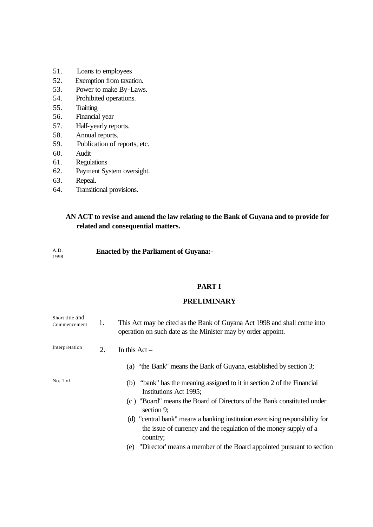- 51. Loans to employees
- 52. Exemption from taxation.
- 53. Power to make By-Laws.
- 54. Prohibited operations.
- 55. Training
- 56. Financial year
- 57. Half-yearly reports.
- 58. Annual reports.
- 59. Publication of reports, etc.
- 60. Audit
- 61. Regulations
- 62. Payment System oversight.
- 63. Repeal.
- 64. Transitional provisions.

## **AN ACT to revise and amend the law relating to the Bank of Guyana and to provide for related and consequential matters.**

#### **Enacted by the Parliament of Guyana:-** A.D. 1998

### **PART I**

## **PRELIMINARY**

| Short title and<br>Commencement | 1. | This Act may be cited as the Bank of Guyana Act 1998 and shall come into<br>operation on such date as the Minister may by order appoint.                      |
|---------------------------------|----|---------------------------------------------------------------------------------------------------------------------------------------------------------------|
| Interpretation                  | 2. | In this $Act -$                                                                                                                                               |
|                                 |    | (a) "the Bank" means the Bank of Guyana, established by section 3;                                                                                            |
| No. 1 of                        |    | (b) "bank" has the meaning assigned to it in section 2 of the Financial<br>Institutions Act 1995;                                                             |
|                                 |    | (c) "Board" means the Board of Directors of the Bank constituted under<br>section 9;                                                                          |
|                                 |    | (d) "central bank" means a banking institution exercising responsibility for<br>the issue of currency and the regulation of the money supply of a<br>country; |
|                                 |    | "Director' means a member of the Board appointed pursuant to section<br>(e)                                                                                   |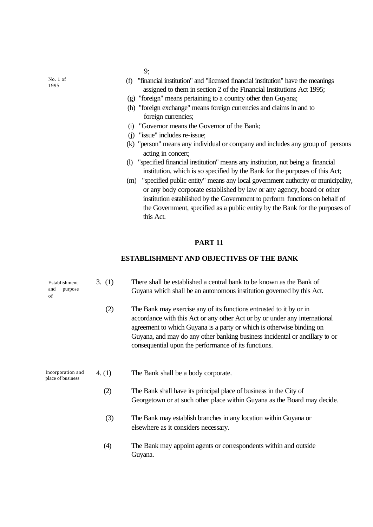9;

 (f) "financial institution" and "licensed financial institution" have the meanings assigned to them in section 2 of the Financial Institutions Act 1995;

- (g) "foreign" means pertaining to a country other than Guyana;
- (h) "foreign exchange" means foreign currencies and claims in and to foreign currencies;
- (i) "Governor means the Governor of the Bank;
- (j) "issue" includes re-issue;
- (k) "person" means any individual or company and includes any group of persons acting in concert;
- (l) "specified financial institution" means any institution, not being a financial institution, which is so specified by the Bank for the purposes of this Act;
- (m) "specified public entity" means any local government authority or municipality, or any body corporate established by law or any agency, board or other institution established by the Government to perform functions on behalf of the Government, specified as a public entity by the Bank for the purposes of this Act.

### **PART 11**

### **ESTABLISHMENT AND OBJECTIVES OF THE BANK**

| Establishment<br>and<br>purpose<br>of  | 3. (1)   | There shall be established a central bank to be known as the Bank of<br>Guyana which shall be an autonomous institution governed by this Act.                                                                                                                                                                                                                     |  |
|----------------------------------------|----------|-------------------------------------------------------------------------------------------------------------------------------------------------------------------------------------------------------------------------------------------------------------------------------------------------------------------------------------------------------------------|--|
|                                        | (2)      | The Bank may exercise any of its functions entrusted to it by or in<br>accordance with this Act or any other Act or by or under any international<br>agreement to which Guyana is a party or which is otherwise binding on<br>Guyana, and may do any other banking business incidental or ancillary to or<br>consequential upon the performance of its functions. |  |
| Incorporation and<br>place of business | 4. $(1)$ | The Bank shall be a body corporate.                                                                                                                                                                                                                                                                                                                               |  |
|                                        | (2)      | The Bank shall have its principal place of business in the City of<br>Georgetown or at such other place within Guyana as the Board may decide.                                                                                                                                                                                                                    |  |
|                                        | (3)      | The Bank may establish branches in any location within Guyana or<br>elsewhere as it considers necessary.                                                                                                                                                                                                                                                          |  |
|                                        | (4)      | The Bank may appoint agents or correspondents within and outside<br>Guyana.                                                                                                                                                                                                                                                                                       |  |
|                                        |          |                                                                                                                                                                                                                                                                                                                                                                   |  |

No. 1 of 1995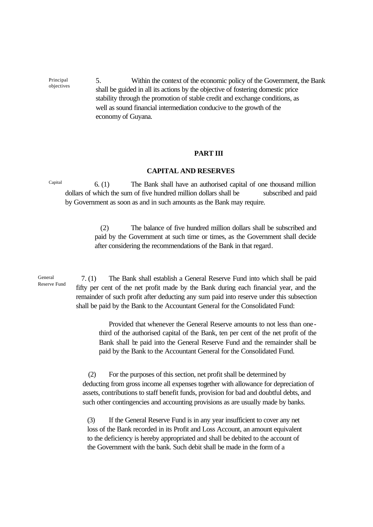5. Within the context of the economic policy of the Government, the Bank shall be guided in all its actions by the objective of fostering domestic price stability through the promotion of stable credit and exchange conditions, as well as sound financial intermediation conducive to the growth of the economy of Guyana.

### **PART III**

### **CAPITAL AND RESERVES**

 6. (1) The Bank shall have an authorised capital of one thousand million dollars of which the sum of five hundred million dollars shall be subscribed and paid by Government as soon as and in such amounts as the Bank may require. Capital

> (2) The balance of five hundred million dollars shall be subscribed and paid by the Government at such time or times, as the Government shall decide after considering the recommendations of the Bank in that regard.

 7. (1) The Bank shall establish a General Reserve Fund into which shall be paid fifty per cent of the net profit made by the Bank during each financial year, and the remainder of such profit after deducting any sum paid into reserve under this subsection shall be paid by the Bank to the Accountant General for the Consolidated Fund:

> Provided that whenever the General Reserve amounts to not less than onethird of the authorised capital of the Bank, ten per cent of the net profit of the Bank shall be paid into the General Reserve Fund and the remainder shall be paid by the Bank to the Accountant General for the Consolidated Fund.

 (2) For the purposes of this section, net profit shall be determined by deducting from gross income all expenses together with allowance for depreciation of assets, contributions to staff benefit funds, provision for bad and doubtful debts, and such other contingencies and accounting provisions as are usually made by banks.

(3) If the General Reserve Fund is in any year insufficient to cover any net loss of the Bank recorded in its Profit and Loss Account, an amount equivalent to the deficiency is hereby appropriated and shall be debited to the account of the Government with the bank. Such debit shall be made in the form of a

General Reserve Fund

Principal objectives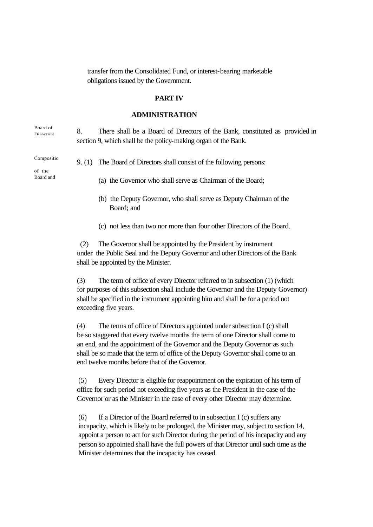transfer from the Consolidated Fund, or interest-bearing marketable obligations issued by the Government.

### **PART IV**

## **ADMINISTRATION**

Board of Directors

8. There shall be a Board of Directors of the Bank, constituted as provided in section 9, which shall be the policy-making organ of the Bank.

Compositio

of the Board and

- 9. (1) The Board of Directors shall consist of the following persons:
	- (a) the Governor who shall serve as Chairman of the Board;
	- (b) the Deputy Governor, who shall serve as Deputy Chairman of the Board; and
	- (c) not less than two nor more than four other Directors of the Board.

 (2) The Governor shall be appointed by the President by instrument under the Public Seal and the Deputy Governor and other Directors of the Bank shall be appointed by the Minister.

 (3) The term of office of every Director referred to in subsection (1) (which for purposes of this subsection shall include the Governor and the Deputy Governor) shall be specified in the instrument appointing him and shall be for a period not exceeding five years.

 (4) The terms of office of Directors appointed under subsection I (c) shall be so staggered that every twelve months the term of one Director shall come to an end, and the appointment of the Governor and the Deputy Governor as such shall be so made that the term of office of the Deputy Governor shall come to an end twelve months before that of the Governor.

(5) Every Director is eligible for reappointment on the expiration of his term of office for such period not exceeding five years as the President in the case of the Governor or as the Minister in the case of every other Director may determine.

(6) If a Director of the Board referred to in subsection I (c) suffers any incapacity, which is likely to be prolonged, the Minister may, subject to section 14, appoint a person to act for such Director during the period of his incapacity and any person so appointed shall have the full powers of that Director until such time as the Minister determines that the incapacity has ceased.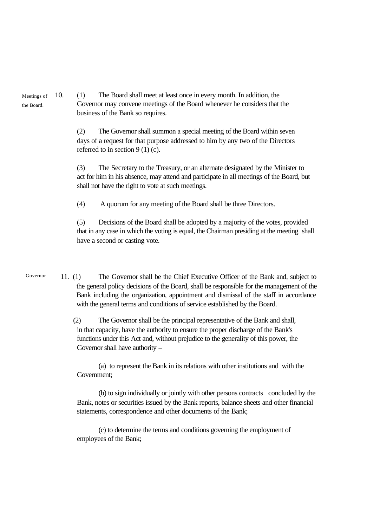10. (1) The Board shall meet at least once in every month. In addition, the Governor may convene meetings of the Board whenever he considers that the business of the Bank so requires.

> (2) The Governor shall summon a special meeting of the Board within seven days of a request for that purpose addressed to him by any two of the Directors referred to in section 9 (1) (c).

(3) The Secretary to the Treasury, or an alternate designated by the Minister to act for him in his absence, may attend and participate in all meetings of the Board, but shall not have the right to vote at such meetings.

(4) A quorum for any meeting of the Board shall be three Directors.

(5) Decisions of the Board shall be adopted by a majority of the votes, provided that in any case in which the voting is equal, the Chairman presiding at the meeting shall have a second or casting vote.

11. (1) The Governor shall be the Chief Executive Officer of the Bank and, subject to the general policy decisions of the Board, shall be responsible for the management of the Bank including the organization, appointment and dismissal of the staff in accordance with the general terms and conditions of service established by the Board. Governor

> (2) The Governor shall be the principal representative of the Bank and shall, in that capacity, have the authority to ensure the proper discharge of the Bank's functions under this Act and, without prejudice to the generality of this power, the Governor shall have authority –

(a) to represent the Bank in its relations with other institutions and with the Government;

(b) to sign individually or jointly with other persons contracts concluded by the Bank, notes or securities issued by the Bank reports, balance sheets and other financial statements, correspondence and other documents of the Bank;

(c) to determine the terms and conditions governing the employment of employees of the Bank;

Meetings of the Board.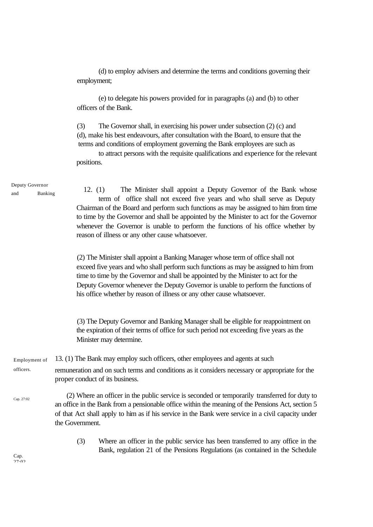(d) to employ advisers and determine the terms and conditions governing their employment;

(e) to delegate his powers provided for in paragraphs (a) and (b) to other officers of the Bank.

(3) The Governor shall, in exercising his power under subsection (2) (c) and (d), make his best endeavours, after consultation with the Board, to ensure that the terms and conditions of employment governing the Bank employees are such as

to attract persons with the requisite qualifications and experience for the relevant positions.

Deputy Governor and Banking

12. (1) The Minister shall appoint a Deputy Governor of the Bank whose term of office shall not exceed five years and who shall serve as Deputy Chairman of the Board and perform such functions as may be assigned to him from time to time by the Governor and shall be appointed by the Minister to act for the Governor whenever the Governor is unable to perform the functions of his office whether by reason of illness or any other cause whatsoever.

(2) The Minister shall appoint a Banking Manager whose term of office shall not exceed five years and who shall perform such functions as may be assigned to him from time to time by the Governor and shall be appointed by the Minister to act for the Deputy Governor whenever the Deputy Governor is unable to perform the functions of his office whether by reason of illness or any other cause whatsoever.

(3) The Deputy Governor and Banking Manager shall be eligible for reappointment on the expiration of their terms of office for such period not exceeding five years as the Minister may determine.

13. (1) The Bank may employ such officers, other employees and agents at such remuneration and on such terms and conditions as it considers necessary or appropriate for the proper conduct of its business. Employment of officers.

 (2) Where an officer in the public service is seconded or temporarily transferred for duty to an office in the Bank from a pensionable office within the meaning of the Pensions Act, section 5 of that Act shall apply to him as if his service in the Bank were service in a civil capacity under the Government. Cap. 27:02

> (3) Where an officer in the public service has been transferred to any office in the Bank, regulation 21 of the Pensions Regulations (as contained in the Schedule

Cap.  $27.02$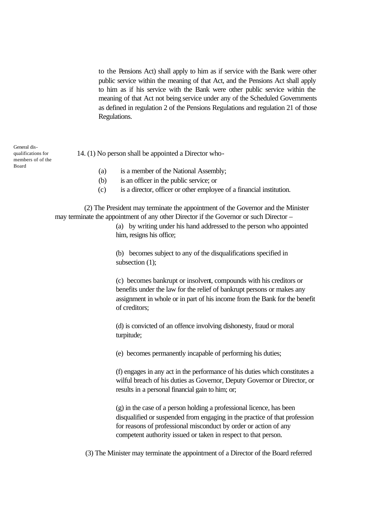to the Pensions Act) shall apply to him as if service with the Bank were other public service within the meaning of that Act, and the Pensions Act shall apply to him as if his service with the Bank were other public service within the meaning of that Act not being service under any of the Scheduled Governments as defined in regulation 2 of the Pensions Regulations and regulation 21 of those Regulations.

| General dis-<br>qualifications for<br>members of of the | 14. (1) No person shall be appointed a Director who- |                                         |  |
|---------------------------------------------------------|------------------------------------------------------|-----------------------------------------|--|
| Board                                                   | (a)                                                  | is a member of the National Assembly;   |  |
|                                                         | (b)                                                  | is an officer in the public service; or |  |

(c) is a director, officer or other employee of a financial institution.

 (2) The President may terminate the appointment of the Governor and the Minister may terminate the appointment of any other Director if the Governor or such Director –

> (a) by writing under his hand addressed to the person who appointed him, resigns his office;

(b) becomes subject to any of the disqualifications specified in subsection (1);

(c) becomes bankrupt or insolvent, compounds with his creditors or benefits under the law for the relief of bankrupt persons or makes any assignment in whole or in part of his income from the Bank for the benefit of creditors;

(d) is convicted of an offence involving dishonesty, fraud or moral turpitude;

(e) becomes permanently incapable of performing his duties;

(f) engages in any act in the performance of his duties which constitutes a wilful breach of his duties as Governor, Deputy Governor or Director, or results in a personal financial gain to him; or;

(g) in the case of a person holding a professional licence, has been disqualified or suspended from engaging in the practice of that profession for reasons of professional misconduct by order or action of any competent authority issued or taken in respect to that person.

(3) The Minister may terminate the appointment of a Director of the Board referred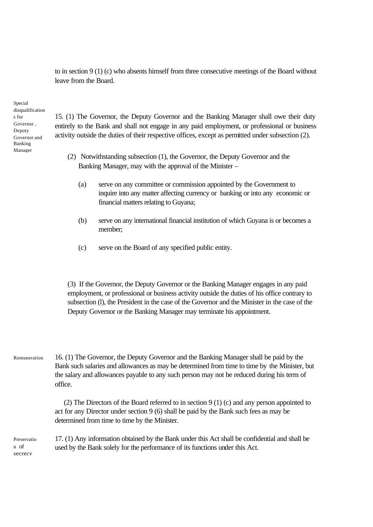to in section 9 (1) (c) who absents himself from three consecutive meetings of the Board without leave from the Board.

Special disqualification s for Governor , Deputy Governor and Banking Manager

15. (1) The Governor, the Deputy Governor and the Banking Manager shall owe their duty entirely to the Bank and shall not engage in any paid employment, or professional or business activity outside the duties of their respective offices, except as permitted under subsection (2).

- (2) Notwithstanding subsection (1), the Governor, the Deputy Governor and the Banking Manager, may with the approval of the Minister –
	- (a) serve on any committee or commission appointed by the Government to inquire into any matter affecting currency or banking or into any economic or financial matters relating to Guyana;
	- (b) serve on any international financial institution of which Guyana is or becomes a member;
	- (c) serve on the Board of any specified public entity.

(3) If the Governor, the Deputy Governor or the Banking Manager engages in any paid employment, or professional or business activity outside the duties of his office contrary to subsection (l), the President in the case of the Governor and the Minister in the case of the Deputy Governor or the Banking Manager may terminate his appointment.

16. (1) The Governor, the Deputy Governor and the Banking Manager shall be paid by the Bank such salaries and allowances as may be determined from time to time by the Minister, but the salary and allowances payable to any such person may not be reduced during his term of office. Remuneration

> (2) The Directors of the Board referred to in section 9 (1) (c) and any person appointed to act for any Director under section 9 (6) shall be paid by the Bank such fees as may be determined from time to time by the Minister.

Preservatio n of secrecy

17. (1) Any information obtained by the Bank under this Act shall be confidential and shall be used by the Bank solely for the performance of its functions under this Act.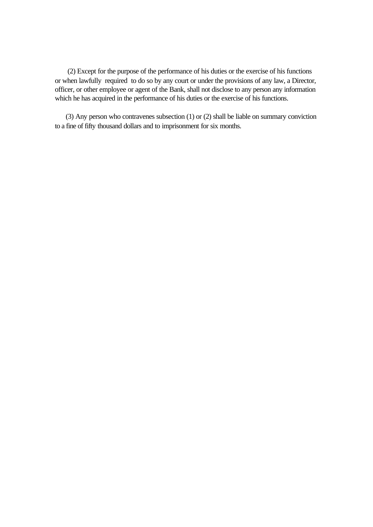(2) Except for the purpose of the performance of his duties or the exercise of his functions or when lawfully required to do so by any court or under the provisions of any law, a Director, officer, or other employee or agent of the Bank, shall not disclose to any person any information which he has acquired in the performance of his duties or the exercise of his functions.

 (3) Any person who contravenes subsection (1) or (2) shall be liable on summary conviction to a fine of fifty thousand dollars and to imprisonment for six months.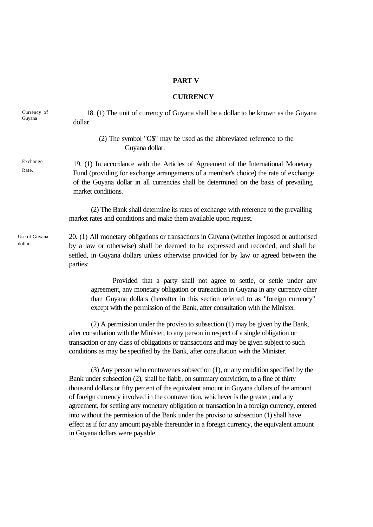### **PART V**

### **CURRENCY**

18. (1) The unit of currency of Guyana shall be a dollar to be known as the Guyana dollar. (2) The symbol "G\$" may be used as the abbreviated reference to the Guyana dollar. 19. (1) In accordance with the Articles of Agreement of the International Monetary Fund (providing for exchange arrangements of a member's choice) the rate of exchange of the Guyana dollar in all currencies shall be determined on the basis of prevailing market conditions. (2) The Bank shall determine its rates of exchange with reference to the prevailing market rates and conditions and make them available upon request. 20. (1) All monetary obligations or transactions in Guyana (whether imposed or authorised by a law or otherwise) shall be deemed to be expressed and recorded, and shall be settled, in Guyana dollars unless otherwise provided for by law or agreed between the parties: Provided that a party shall not agree to settle, or settle under any agreement, any monetary obligation or transaction in Guyana in any currency other than Guyana dollars (hereafter in this section referred to as "foreign currency" except with the permission of the Bank, after consultation with the Minister. (2) A permission under the proviso to subsection (1) may be given by the Bank, after consultation with the Minister, to any person in respect of a single obligation or transaction or any class of obligations or transactions and may be given subject to such conditions as may be specified by the Bank, after consultation with the Minister. (3) Any person who contravenes subsection (1), or any condition specified by the Bank under subsection (2), shall be liable, on summary conviction, to a fine of thirty Currency of Guyana Exchange Rate. Use of Guyana dollar.

thousand dollars or fifty percent of the equivalent amount in Guyana dollars of the amount of foreign currency involved in the contravention, whichever is the greater; and any agreement, for settling any monetary obligation or transaction in a foreign currency, entered into without the permission of the Bank under the proviso to subsection (1) shall have effect as if for any amount payable thereunder in a foreign currency, the equivalent amount in Guyana dollars were payable.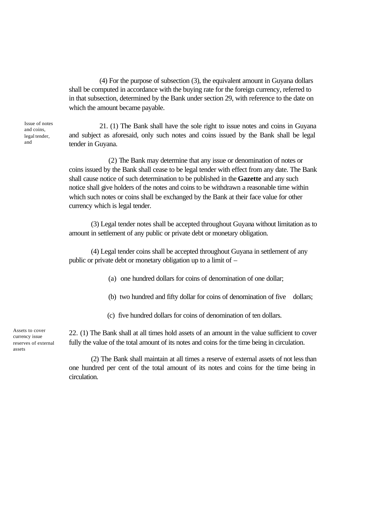(4) For the purpose of subsection (3), the equivalent amount in Guyana dollars shall be computed in accordance with the buying rate for the foreign currency, referred to in that subsection, determined by the Bank under section 29, with reference to the date on which the amount became payable.

Issue of notes and coins, legal tender, and

21. (1) The Bank shall have the sole right to issue notes and coins in Guyana and subject as aforesaid, only such notes and coins issued by the Bank shall be legal tender in Guyana.

 (2) The Bank may determine that any issue or denomination of notes or coins issued by the Bank shall cease to be legal tender with effect from any date. The Bank shall cause notice of such determination to be published in the **Gazette** and any such notice shall give holders of the notes and coins to be withdrawn a reasonable time within which such notes or coins shall be exchanged by the Bank at their face value for other currency which is legal tender.

(3) Legal tender notes shall be accepted throughout Guyana without limitation as to amount in settlement of any public or private debt or monetary obligation.

(4) Legal tender coins shall be accepted throughout Guyana in settlement of any public or private debt or monetary obligation up to a limit of –

(a) one hundred dollars for coins of denomination of one dollar;

- (b) two hundred and fifty dollar for coins of denomination of five dollars;
- (c) five hundred dollars for coins of denomination of ten dollars.

Assets to cover currency issue reserves of external assets

22. (1) The Bank shall at all times hold assets of an amount in the value sufficient to cover fully the value of the total amount of its notes and coins for the time being in circulation.

(2) The Bank shall maintain at all times a reserve of external assets of not less than one hundred per cent of the total amount of its notes and coins for the time being in circulation.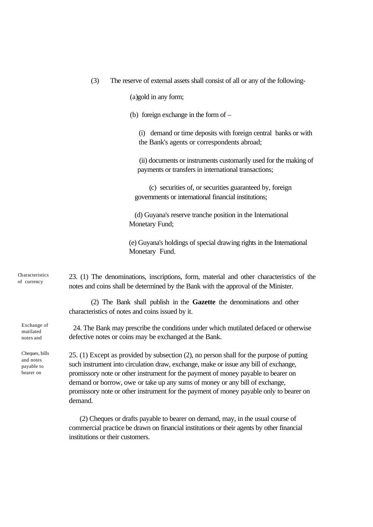(3) The reserve of external assets shall consist of all or any of the following-

(a)gold in any form;

(b) foreign exchange in the form of –

(i) demand or time deposits with foreign central banks or with the Bank's agents or correspondents abroad;

 (ii) documents or instruments customarily used for the making of payments or transfers in international transactions;

 (c) securities of, or securities guaranteed by, foreign governments or international financial institutions;

(d) Guyana's reserve tranche position in the International Monetary Fund;

(e) Guyana's holdings of special drawing rights in the International Monetary Fund.

Characteristics of currency

> Exchange of mutilated notes and

Cheques, bills and notes payable to bearer on

23. (1) The denominations, inscriptions, form, material and other characteristics of the notes and coins shall be determined by the Bank with the approval of the Minister.

(2) The Bank shall publish in the **Gazette** the denominations and other characteristics of notes and coins issued by it.

24. The Bank may prescribe the conditions under which mutilated defaced or otherwise defective notes or coins may be exchanged at the Bank.

25. (1) Except as provided by subsection (2), no person shall for the purpose of putting such instrument into circulation draw, exchange, make or issue any bill of exchange, promissory note or other instrument for the payment of money payable to bearer on demand or borrow, owe or take up any sums of money or any bill of exchange, promissory note or other instrument for the payment of money payable only to bearer on demand.

 (2) Cheques or drafts payable to bearer on demand, may, in the usual course of commercial practice be drawn on financial institutions or their agents by other financial institutions or their customers.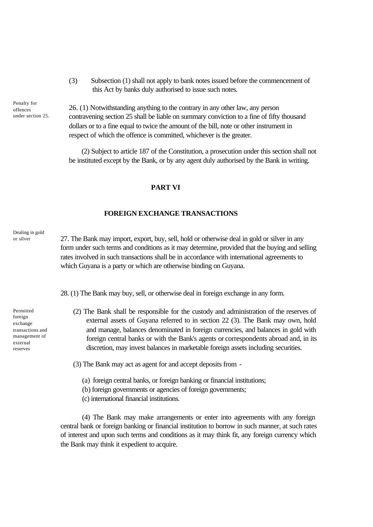(3) Subsection (1) shall not apply to bank notes issued before the commencement of this Act by banks duly authorised to issue such notes.

Penalty for offences under section 25.

26. (1) Notwithstanding anything to the contrary in any other law, any person contravening section 25 shall be liable on summary conviction to a fine of fifty thousand dollars or to a fine equal to twice the amount of the bill, note or other instrument in respect of which the offence is committed, whichever is the greater.

(2) Subject to article 187 of the Constitution, a prosecution under this section shall not be instituted except by the Bank, or by any agent duly authorised by the Bank in writing.

### **PART VI**

### **FOREIGN EXCHANGE TRANSACTIONS**

Dealing in gold or silver

27. The Bank may import, export, buy, sell, hold or otherwise deal in gold or silver in any form under such terms and conditions as it may determine, provided that the buying and selling rates involved in such transactions shall be in accordance with international agreements to which Guyana is a party or which are otherwise binding on Guyana.

28. (1) The Bank may buy, sell, or otherwise deal in foreign exchange in any form.

(2) The Bank shall be responsible for the custody and administration of the reserves of external assets of Guyana referred to in section 22 (3). The Bank may own, hold and manage, balances denominated in foreign currencies, and balances in gold with foreign central banks or with the Bank's agents or correspondents abroad and, in its discretion, may invest balances in marketable foreign assets including securities.

(3) The Bank may act as agent for and accept deposits from -

- (a) foreign central banks, or foreign banking or financial institutions;
- (b) foreign governments or agencies of foreign governments;
- (c) international financial institutions.

(4) The Bank may make arrangements or enter into agreements with any foreign central bank or foreign banking or financial institution to borrow in such manner, at such rates of interest and upon such terms and conditions as it may think fit, any foreign currency which the Bank may think it expedient to acquire.

Permitted foreign exchange transactions and management of external reserves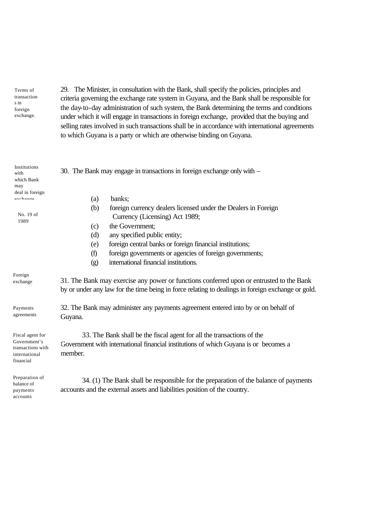Terms of transaction s in foreign exchange.

29. The Minister, in consultation with the Bank, shall specify the policies, principles and criteria governing the exchange rate system in Guyana, and the Bank shall be responsible for the day-to-day administration of such system, the Bank determining the terms and conditions under which it will engage in transactions in foreign exchange, provided that the buying and selling rates involved in such transactions shall be in accordance with international agreements to which Guyana is a party or which are otherwise binding on Guyana.

| Institutions<br>with<br>which Bank<br>may                                           | 30. The Bank may engage in transactions in foreign exchange only with –                                                                                                                       |  |  |  |  |
|-------------------------------------------------------------------------------------|-----------------------------------------------------------------------------------------------------------------------------------------------------------------------------------------------|--|--|--|--|
| deal in foreign<br>avahanaa                                                         | banks;<br>(a)                                                                                                                                                                                 |  |  |  |  |
|                                                                                     | (b)<br>foreign currency dealers licensed under the Dealers in Foreign                                                                                                                         |  |  |  |  |
| No. 19 of<br>1989                                                                   | Currency (Licensing) Act 1989;                                                                                                                                                                |  |  |  |  |
|                                                                                     | the Government;<br>(c)                                                                                                                                                                        |  |  |  |  |
|                                                                                     | any specified public entity;<br>(d)                                                                                                                                                           |  |  |  |  |
|                                                                                     | foreign central banks or foreign financial institutions;<br>(e)                                                                                                                               |  |  |  |  |
|                                                                                     | (f)<br>foreign governments or agencies of foreign governments;                                                                                                                                |  |  |  |  |
|                                                                                     | international financial institutions.<br>$\left( \text{g} \right)$                                                                                                                            |  |  |  |  |
| Foreign<br>exchange                                                                 | 31. The Bank may exercise any power or functions conferred upon or entrusted to the Bank<br>by or under any law for the time being in force relating to dealings in foreign exchange or gold. |  |  |  |  |
| Payments<br>agreements                                                              | 32. The Bank may administer any payments agreement entered into by or on behalf of<br>Guyana.                                                                                                 |  |  |  |  |
| Fiscal agent for<br>Government's<br>transactions with<br>international<br>financial | 33. The Bank shall be the fiscal agent for all the transactions of the<br>Government with international financial institutions of which Guyana is or becomes a<br>member.                     |  |  |  |  |
| Preparation of<br>balance of<br>payments                                            | 34. (1) The Bank shall be responsible for the preparation of the balance of payments<br>accounts and the external assets and liabilities position of the country.                             |  |  |  |  |

pay accounts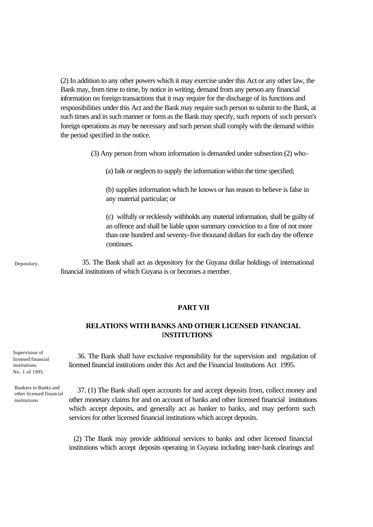(2) In addition to any other powers which it may exercise under this Act or any other law, the Bank may, from time to time, by notice in writing, demand from any person any financial information on foreign transactions that it may require for the discharge of its functions and responsibilities under this Act and the Bank may require such person to submit to the Bank, at such times and in such manner or form as the Bank may specify, such reports of such person's foreign operations as may be necessary and such person shall comply with the demand within the period specified in the notice.

(3) Any person from whom information is demanded under subsection (2) who-

(a) fails or neglects to supply the information within the time specified;

(b) supplies information which he knows or has reason to believe is false in any material particular; or

(c) wilfully or recklessly withholds any material information, shall be guilty of an offence and shall be liable upon summary conviction to a fine of not more than one hundred and seventy-five thousand dollars for each day the offence continues.

Depository.

35. The Bank shall act as depository for the Guyana dollar holdings of international financial institutions of which Guyana is or becomes a member.

### **PART VII**

## **RELATIONS WITH BANKS AND OTHER LICENSED FINANCIAL** I**NSTITUTIONS**

Supervision of licensed financial institutions No. 1 of 1995

Bankers to Banks and other licensed financial institutions

36. The Bank shall have exclusive responsibility for the supervision and regulation of licensed financial institutions under this Act and the Financial Institutions Act 1995.

37. (1) The Bank shall open accounts for and accept deposits from, collect money and other monetary claims for and on account of banks and other licensed financial institutions which accept deposits, and generally act as banker to banks, and may perform such services for other licensed financial institutions which accept deposits.

(2) The Bank may provide additional services to banks and other licensed financial institutions which accept deposits operating in Guyana including inter-bank clearings and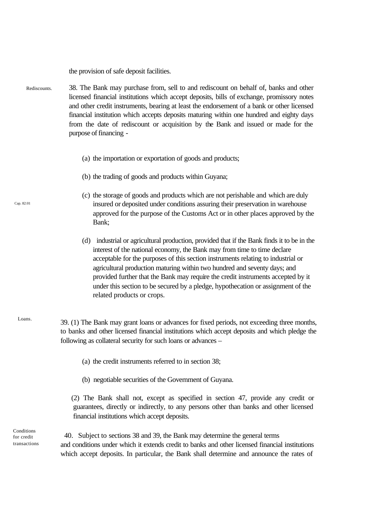the provision of safe deposit facilities.

- 38. The Bank may purchase from, sell to and rediscount on behalf of, banks and other licensed financial institutions which accept deposits, bills of exchange, promissory notes and other credit instruments, bearing at least the endorsement of a bank or other licensed financial institution which accepts deposits maturing within one hundred and eighty days from the date of rediscount or acquisition by the Bank and issued or made for the purpose of financing - Rediscounts.
	- (a) the importation or exportation of goods and products;
	- (b) the trading of goods and products within Guyana;
	- (c) the storage of goods and products which are not perishable and which are duly insured or deposited under conditions assuring their preservation in warehouse approved for the purpose of the Customs Act or in other places approved by the Bank;
	- (d) industrial or agricultural production, provided that if the Bank finds it to be in the interest of the national economy, the Bank may from time to time declare acceptable for the purposes of this section instruments relating to industrial or agricultural production maturing within two hundred and seventy days; and provided further that the Bank may require the credit instruments accepted by it under this section to be secured by a pledge, hypothecation or assignment of the related products or crops.
	- 39. (1) The Bank may grant loans or advances for fixed periods, not exceeding three months, to banks and other licensed financial institutions which accept deposits and which pledge the following as collateral security for such loans or advances –
		- (a) the credit instruments referred to in section 38;
		- (b) negotiable securities of the Government of Guyana.

 (2) The Bank shall not, except as specified in section 47, provide any credit or guarantees, directly or indirectly, to any persons other than banks and other licensed financial institutions which accept deposits.

Conditions for credit transactions

40. Subject to sections 38 and 39, the Bank may determine the general terms and conditions under which it extends credit to banks and other licensed financial institutions which accept deposits. In particular, the Bank shall determine and announce the rates of

Cap. 82:01

Loans.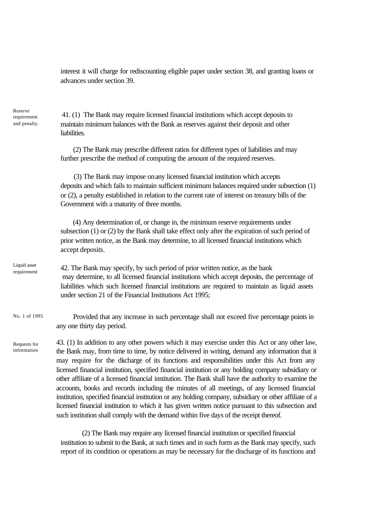interest it will charge for rediscounting eligible paper under section 38, and granting loans or advances under section 39.

41. (1) The Bank may require licensed financial institutions which accept deposits to maintain minimum balances with the Bank as reserves against their deposit and other liabilities. (2) The Bank may prescribe different ratios for different types of liabilities and may further prescribe the method of computing the amount of the required reserves. (3) The Bank may impose on any licensed financial institution which accepts deposits and which fails to maintain sufficient minimum balances required under subsection (1) or (2), a penalty established in relation to the current rate of interest on treasury bills of the Government with a maturity of three months. (4) Any determination of, or change in, the minimum reserve requirements under subsection (1) or (2) by the Bank shall take effect only after the expiration of such period of prior written notice, as the Bank may determine, to all licensed financial institutions which accept deposits. 42. The Bank may specify, by such period of prior written notice, as the bank may determine, to all licensed financial institutions which accept deposits, the percentage of liabilities which such licensed financial institutions are required to maintain as liquid assets under section 21 of the Financial Institutions Act 1995; Provided that any increase in such percentage shall not exceed five percentage points in any one thirty day period. 43. (1) In addition to any other powers which it may exercise under this Act or any other law, the Bank may, from time to time, by notice delivered in writing, demand any information that it may require for the discharge of its functions and responsibilities under this Act from any licensed financial institution, specified financial institution or any holding company subsidiary or other affiliate of a licensed financial institution. The Bank shall have the authority to examine the accounts, books and records including the minutes of all meetings, of any licensed financial institution, specified financial institution or any holding company, subsidiary or other affiliate of a licensed financial institution to which it has given written notice pursuant to this subsection and such institution shall comply with the demand within five days of the receipt thereof. requirement and penalty. Liquid asset requirement No. 1 of 1995 Requests for information

> (2) The Bank may require any licensed financial institution or specified financial institution to submit to the Bank, at such times and in such form as the Bank may specify, such report of its condition or operations as may be necessary for the discharge of its functions and

Reserve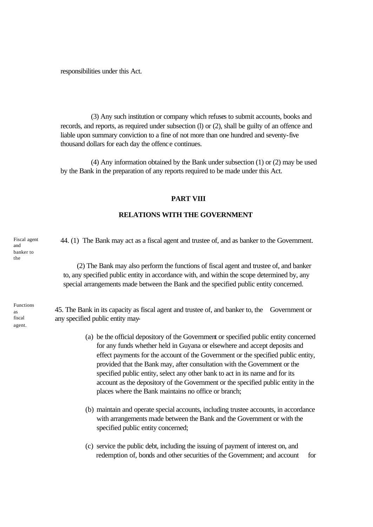responsibilities under this Act.

(3) Any such institution or company which refuses to submit accounts, books and records, and reports, as required under subsection (l) or (2), shall be guilty of an offence and liable upon summary conviction to a fine of not more than one hundred and seventy-five thousand dollars for each day the offence continues.

(4) Any information obtained by the Bank under subsection (1) or (2) may be used by the Bank in the preparation of any reports required to be made under this Act.

### **PART VIII**

### **RELATIONS WITH THE GOVERNMENT**

 44. (1) The Bank may act as a fiscal agent and trustee of, and as banker to the Government. Fiscal agent

> (2) The Bank may also perform the functions of fiscal agent and trustee of, and banker to, any specified public entity in accordance with, and within the scope determined by, any special arrangements made between the Bank and the specified public entity concerned.

45. The Bank in its capacity as fiscal agent and trustee of, and banker to, the Government or any specified public entity may-

- (a) be the official depository of the Government or specified public entity concerned for any funds whether held in Guyana or elsewhere and accept deposits and effect payments for the account of the Government or the specified public entity, provided that the Bank may, after consultation with the Government or the specified public entity, select any other bank to act in its name and for its account as the depository of the Government or the specified public entity in the places where the Bank maintains no office or branch;
- (b) maintain and operate special accounts, including trustee accounts, in accordance with arrangements made between the Bank and the Government or with the specified public entity concerned;
- (c) service the public debt, including the issuing of payment of interest on, and redemption of, bonds and other securities of the Government; and account for

and banker to the

Functions as fiscal agent.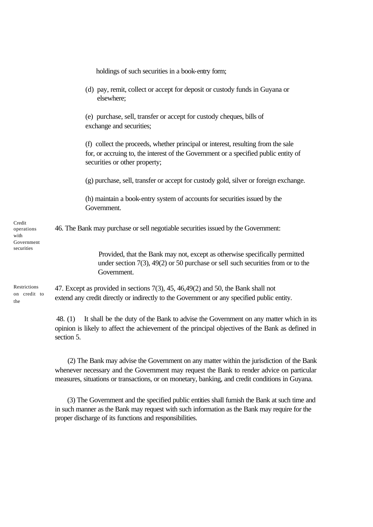|                                                          | holdings of such securities in a book-entry form;                                                                                                                                                        |
|----------------------------------------------------------|----------------------------------------------------------------------------------------------------------------------------------------------------------------------------------------------------------|
|                                                          | (d) pay, remit, collect or accept for deposit or custody funds in Guyana or<br>elsewhere;                                                                                                                |
|                                                          | (e) purchase, sell, transfer or accept for custody cheques, bills of<br>exchange and securities;                                                                                                         |
|                                                          | (f) collect the proceeds, whether principal or interest, resulting from the sale<br>for, or accruing to, the interest of the Government or a specified public entity of<br>securities or other property; |
|                                                          | (g) purchase, sell, transfer or accept for custody gold, silver or foreign exchange.                                                                                                                     |
|                                                          | (h) maintain a book-entry system of accounts for securities issued by the<br>Government.                                                                                                                 |
| Credit<br>operations<br>with<br>Government<br>securities | 46. The Bank may purchase or sell negotiable securities issued by the Government:                                                                                                                        |
|                                                          | Provided, that the Bank may not, except as otherwise specifically permitted<br>under section $7(3)$ , $49(2)$ or 50 purchase or sell such securities from or to the<br>Government.                       |
| Restrictions<br>on credit to<br>the                      | 47. Except as provided in sections 7(3), 45, 46, 49(2) and 50, the Bank shall not<br>extend any credit directly or indirectly to the Government or any specified public entity.                          |
|                                                          | It shall be the duty of the Bank to advise the Government on any matter which in its<br>48. $(1)$                                                                                                        |

> opinion is likely to affect the achievement of the principal objectives of the Bank as defined in section 5.

> (2) The Bank may advise the Government on any matter within the jurisdiction of the Bank whenever necessary and the Government may request the Bank to render advice on particular measures, situations or transactions, or on monetary, banking, and credit conditions in Guyana.

> (3) The Government and the specified public entities shall furnish the Bank at such time and in such manner as the Bank may request with such information as the Bank may require for the proper discharge of its functions and responsibilities.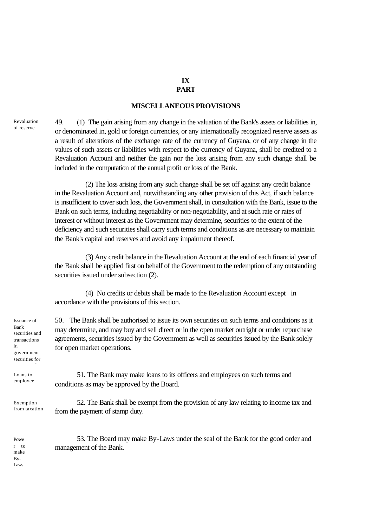# **IX**

## **PART**

## **MISCELLANEOUS PROVISIONS**

Revaluation of reserve

49. (1) The gain arising from any change in the valuation of the Bank's assets or liabilities in, or denominated in, gold or foreign currencies, or any internationally recognized reserve assets as a result of alterations of the exchange rate of the currency of Guyana, or of any change in the values of such assets or liabilities with respect to the currency of Guyana, shall be credited to a Revaluation Account and neither the gain nor the loss arising from any such change shall be included in the computation of the annual profit or loss of the Bank.

(2) The loss arising from any such change shall be set off against any credit balance in the Revaluation Account and, notwithstanding any other provision of this Act, if such balance is insufficient to cover such loss, the Government shall, in consultation with the Bank, issue to the Bank on such terms, including negotiability or non-negotiability, and at such rate or rates of interest or without interest as the Government may determine, securities to the extent of the deficiency and such securities shall carry such terms and conditions as are necessary to maintain the Bank's capital and reserves and avoid any impairment thereof.

(3) Any credit balance in the Revaluation Account at the end of each financial year of the Bank shall be applied first on behalf of the Government to the redemption of any outstanding securities issued under subsection  $(2)$ .

(4) No credits or debits shall be made to the Revaluation Account except in accordance with the provisions of this section.

50. The Bank shall be authorised to issue its own securities on such terms and conditions as it may determine, and may buy and sell direct or in the open market outright or under repurchase agreements, securities issued by the Government as well as securities issued by the Bank solely for open market operations.

51. The Bank may make loans to its officers and employees on such terms and conditions as may be approved by the Board.

52. The Bank shall be exempt from the provision of any law relating to income tax and from the payment of stamp duty.

53. The Board may make By-Laws under the seal of the Bank for the good order and management of the Bank.

Issuance of Bank securities and transactions in government securities for

Loans to employee

open market

Exemption from taxation

Powe r to make By-Laws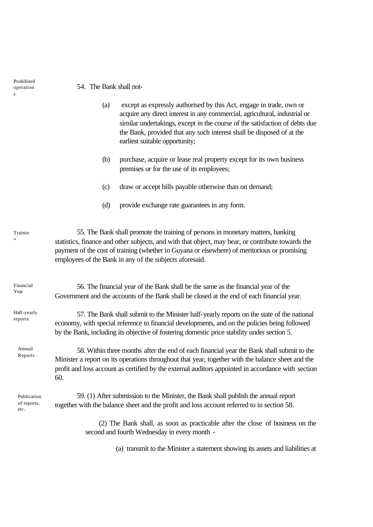54. The Bank shall not-

- (a) except as expressly authorised by this Act, engage in trade, own or acquire any direct interest in any commercial, agricultural, industrial or similar undertakings, except in the course of the satisfaction of debts due the Bank, provided that any such interest shall be disposed of at the earliest suitable opportunity;
- (b) purchase, acquire or lease real property except for its own business premises or for the use of its employees;
- (c) draw or accept bills payable otherwise than on demand;
- (d) provide exchange rate guarantees in any form.

55. The Bank shall promote the training of persons in monetary matters, banking statistics, finance and other subjects, and with that object, may bear, or contribute towards the payment of the cost of training (whether in Guyana or elsewhere) of meritorious or promising employees of the Bank in any of the subjects aforesaid. Trainin

56. The financial year of the Bank shall be the same as the financial year of the Government and the accounts of the Bank shall be closed at the end of each financial year. Financial Year

57. The Bank shall submit to the Minister half-yearly reports on the state of the national economy, with special reference to financial developments, and on the policies being followed by the Bank, including its objective of fostering domestic price stability under section 5. Half-yearly reports

Annual Reports

 $\sim$ 

58. Within three months after the end of each financial year the Bank shall submit to the Minister a report on its operations throughout that year, together with the balance sheet and the profit and loss account as certified by the external auditors appointed in accordance with section 60.

Publication of reports, etc.

59. (1) After submission to the Minister, the Bank shall publish the annual report together with the balance sheet and the profit and loss account referred to in section 58.

> (2) The Bank shall, as soon as practicable after the close of business on the second and fourth Wednesday in every month -

> > (a) transmit to the Minister a statement showing its assets and liabilities at

Prohibited operation s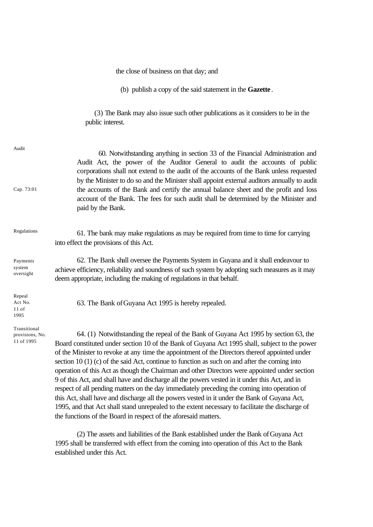the close of business on that day; and

(b) publish a copy of the said statement in the **Gazette**.

 (3) The Bank may also issue such other publications as it considers to be in the public interest.

| Audit<br>Cap. 73:01                           | 60. Notwithstanding anything in section 33 of the Financial Administration and<br>Audit Act, the power of the Auditor General to audit the accounts of public<br>corporations shall not extend to the audit of the accounts of the Bank unless requested<br>by the Minister to do so and the Minister shall appoint external auditors annually to audit<br>the accounts of the Bank and certify the annual balance sheet and the profit and loss<br>account of the Bank. The fees for such audit shall be determined by the Minister and<br>paid by the Bank.                                                                                                                                                                                                                                                                                                                                                                                                        |
|-----------------------------------------------|----------------------------------------------------------------------------------------------------------------------------------------------------------------------------------------------------------------------------------------------------------------------------------------------------------------------------------------------------------------------------------------------------------------------------------------------------------------------------------------------------------------------------------------------------------------------------------------------------------------------------------------------------------------------------------------------------------------------------------------------------------------------------------------------------------------------------------------------------------------------------------------------------------------------------------------------------------------------|
| Regulations                                   | 61. The bank may make regulations as may be required from time to time for carrying<br>into effect the provisions of this Act.                                                                                                                                                                                                                                                                                                                                                                                                                                                                                                                                                                                                                                                                                                                                                                                                                                       |
| Payments<br>system<br>oversight               | 62. The Bank shall oversee the Payments System in Guyana and it shall endeavour to<br>achieve efficiency, reliability and soundness of such system by adopting such measures as it may<br>deem appropriate, including the making of regulations in that behalf.                                                                                                                                                                                                                                                                                                                                                                                                                                                                                                                                                                                                                                                                                                      |
| Repeal<br>Act No.<br>$11$ of<br>1995          | 63. The Bank of Guyana Act 1995 is hereby repealed.                                                                                                                                                                                                                                                                                                                                                                                                                                                                                                                                                                                                                                                                                                                                                                                                                                                                                                                  |
| Transitional<br>provisions, No.<br>11 of 1995 | 64. (1) Notwithstanding the repeal of the Bank of Guyana Act 1995 by section 63, the<br>Board constituted under section 10 of the Bank of Guyana Act 1995 shall, subject to the power<br>of the Minister to revoke at any time the appointment of the Directors thereof appointed under<br>section 10 $(1)$ (c) of the said Act, continue to function as such on and after the coming into<br>operation of this Act as though the Chairman and other Directors were appointed under section<br>9 of this Act, and shall have and discharge all the powers vested in it under this Act, and in<br>respect of all pending matters on the day immediately preceding the coming into operation of<br>this Act, shall have and discharge all the powers vested in it under the Bank of Guyana Act,<br>1995, and that Act shall stand unrepealed to the extent necessary to facilitate the discharge of<br>the functions of the Board in respect of the aforesaid matters. |

(2) The assets and liabilities of the Bank established under the Bank of Guyana Act 1995 shall be transferred with effect from the coming into operation of this Act to the Bank established under this Act.